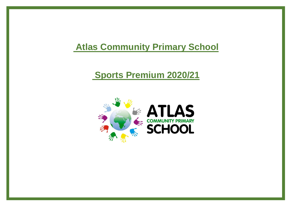## **Atlas Community Primary School**

## **Sports Premium 2020/21**

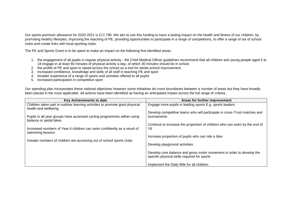Our sports premium allowance for 2020-2021 is £17,790. We aim to use this funding to have a lasting impact on the health and fitness of our children, by promoting healthy lifestyles, improving the teaching of PE, providing opportunities to participate in a range of competitions, to offer a range of out of school clubs and create links with local sporting clubs.

The PE and Sports Grant is to be spent to make an impact on the following five identified areas;

- 1. the engagement of all pupils in regular physical activity the Chief Medical Officer guidelines recommend that all children and young people aged 5 to 18 engage in at least 60 minutes of physical activity a day, of which 30 minutes should be in school
- 2. the profile of PE and sport is raised across the school as a tool for whole-school improvement
- 3. increased confidence, knowledge and skills of all staff in teaching PE and sport
- 4. broader experience of a range of sports and activities offered to all pupils
- 5. increased participation in competitive sport

Our spending plan incorporates these national objectives however some initiatives do cross boundaries between a number of areas but they have broadly been placed in the most applicable. All actions have been identified as having an anticipated impact across the full range of criteria.

| Key Achievements to date                                                                            | Areas for further improvement                                                                                         |
|-----------------------------------------------------------------------------------------------------|-----------------------------------------------------------------------------------------------------------------------|
| Children taken part in outdoor learning activities to promote good physical<br>health and wellbeing | Engage more pupils in leading sports E.g. sports leaders                                                              |
| Pupils in all year groups have accessed cycling programmes wither using<br>balance or pedal bikes   | Develop competitive teams who will participate in cross-Trust matches and<br>tournaments                              |
|                                                                                                     | Continue to increase the proportion of children who can swim by the end of<br>Y <sub>6</sub>                          |
| Increased numbers of Year 6 children can swim confidently as a result of<br>swimming lessons        |                                                                                                                       |
| Greater numbers of children are accessing out of school sports clubs                                | Increase proportion of pupils who can ride a bike                                                                     |
|                                                                                                     | Develop playground activities.                                                                                        |
|                                                                                                     | Develop core balance and gross motor movement in order to develop the<br>specific physical skills required for sports |
|                                                                                                     | Implement the Daily Mile for all children                                                                             |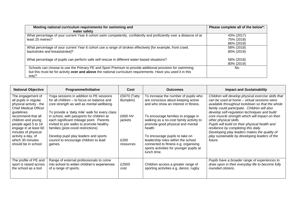| Meeting national curriculum requirements for swimming and<br>water safety                                                                                                                                                      | Please complete all of the below*:     |
|--------------------------------------------------------------------------------------------------------------------------------------------------------------------------------------------------------------------------------|----------------------------------------|
| What percentage of your current Year 6 cohort swim competently, confidently and proficiently over a distance of at<br>least 25 metres?                                                                                         | 43% (2017)<br>75% (2018)<br>86% (2019) |
| What percentage of your current Year 6 cohort use a range of strokes effectively [for example, front crawl,<br>backstroke and breaststroke]?                                                                                   | 58% (2018)<br>80% (2019)               |
| What percentage of pupils can perform safe self-rescue in different water-based situations?                                                                                                                                    | 58% (2018)<br>80% (2019)               |
| Schools can choose to use the Primary PE and Sport Premium to provide additional provision for swimming<br>but this must be for activity over and above the national curriculum requirements. Have you used it in this<br>way? | No.                                    |

| <b>National Objective</b>                                                                                                                                                                                                                                                                               | <b>Programme/Initiative</b>                                                                                                                                                                                                                                                                                                                                                                                                                                 | Cost                                                                | <b>Outcomes</b>                                                                                                                                                                                                                                                                                                                                                                                                             | <b>Impact and Sustainability</b>                                                                                                                                                                                                                                                                                                                                                                                                                                                                                                         |
|---------------------------------------------------------------------------------------------------------------------------------------------------------------------------------------------------------------------------------------------------------------------------------------------------------|-------------------------------------------------------------------------------------------------------------------------------------------------------------------------------------------------------------------------------------------------------------------------------------------------------------------------------------------------------------------------------------------------------------------------------------------------------------|---------------------------------------------------------------------|-----------------------------------------------------------------------------------------------------------------------------------------------------------------------------------------------------------------------------------------------------------------------------------------------------------------------------------------------------------------------------------------------------------------------------|------------------------------------------------------------------------------------------------------------------------------------------------------------------------------------------------------------------------------------------------------------------------------------------------------------------------------------------------------------------------------------------------------------------------------------------------------------------------------------------------------------------------------------------|
| The engagement of<br>all pupils in regular<br>physical activity - the<br><b>Chief Medical Officer</b><br>guidelines<br>recommend that all<br>children and young<br>people aged 5 to 18<br>engage in at least 60<br>minutes of physical<br>activity a day, of<br>which 30 minutes<br>should be in school | Yoga sessions in addition to PE sessions<br>for all children – to focus on balance and<br>core strength as well as mental wellbeing<br>To provide a 'daily mile' walk for every class<br>in school, with passports for children at<br>each significant mileage point. Parents<br>invited to join walks to promote healthy<br>families (post-covid restrictions)<br>Develop pupil play leaders and sports<br>council to encourage children to lead<br>games. | £5070 (Tatty<br>Bumpkin)<br>£600 HV<br>jackets<br>£200<br>resources | To increase the number of pupils who<br>are conscious about keeping active<br>and who show an interest in fitness.<br>To encourage families to engage in<br>walking as a no-cost family activity to<br>promote good physical and mental<br>health<br>To encourage pupils to take on<br>leadership roles within the school<br>connected to fitness e.g. organising<br>sports activities for younger pupils at<br>lunch time. | Children will develop physical exercise skills that<br>can be used at home - virtual sessions were<br>available throughout lockdown so that the whole<br>family could participate. Children will also<br>develop self-regulation techniques and build<br>core muscle strength which will impact on their<br>other physical skills.<br>Pupils will build on their physical health and<br>resilience by completing this daily.<br>Developing play leaders makes the quality of<br>play sustainable by developing leaders of the<br>future. |
| The profile of PE and<br>sport is raised across<br>the school as a tool                                                                                                                                                                                                                                 | Range of external professionals to come<br>into school to widen children's experiences<br>of a range of sports.                                                                                                                                                                                                                                                                                                                                             | £2500<br>cost                                                       | Children access a greater range of<br>sporting activities e.g. dance, rugby                                                                                                                                                                                                                                                                                                                                                 | Pupils have a broader range of experiences to<br>draw upon in their everyday life to become fully<br>rounded citizens.                                                                                                                                                                                                                                                                                                                                                                                                                   |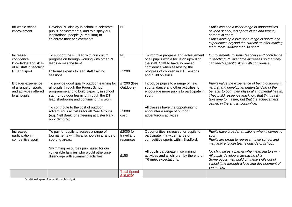| for whole-school<br>improvement                                                              | Develop PE display in school to celebrate<br>pupils' achievements, and to display our<br>inspirational people (curriculum) to<br>celebrate their achievements                                                                                                                                                                                                                      | Nil                                          |                                                                                                                                                                                                                                   | Pupils can see a wider range of opportunities<br>beyond school, e.g sports clubs and teams,<br>careers in sport.<br>Pupils develop a love for a range of sports and<br>experiences beyond the curriculum offer making<br>them more 'switched on' to sport.                                                                                                           |
|----------------------------------------------------------------------------------------------|------------------------------------------------------------------------------------------------------------------------------------------------------------------------------------------------------------------------------------------------------------------------------------------------------------------------------------------------------------------------------------|----------------------------------------------|-----------------------------------------------------------------------------------------------------------------------------------------------------------------------------------------------------------------------------------|----------------------------------------------------------------------------------------------------------------------------------------------------------------------------------------------------------------------------------------------------------------------------------------------------------------------------------------------------------------------|
| Increased<br>confidence,<br>knowledge and skills<br>of all staff in teaching<br>PE and sport | To support the PE lead with curriculum<br>progression through working with other PE<br>leads across the trust<br>External experts to lead staff training<br>sessions                                                                                                                                                                                                               | Nil<br>£1200                                 | To improve progress and achievement<br>of all pupils with a focus on upskilling<br>the staff. Staff to have increased<br>confidence when assessing the<br>progress of children in P.E. lessons<br>and build on skills.            | Improvements to staffs teaching and confidence<br>in teaching PE over time increases so that they<br>can teach specific skills with confidence.                                                                                                                                                                                                                      |
| Broader experience<br>of a range of sports<br>and activities offered<br>to all pupils        | To provide good quality outdoor learning for<br>all pupils through the Forest School<br>programme and to build capacity in school<br>staff for outdoor learning through the DT<br>lead shadowing and continuing this work<br>To contribute to the cost of outdoor<br>adventurous activities for all Year Groups<br>(e.g. Nell Bank, orienteering at Lister Park,<br>rock climbing) | £7200 (Bee<br>Outdoors)<br>£1000<br>cost     | Introduce pupils to a range of new<br>sports, dance and other activities to<br>encourage more pupils to participate in<br>sport.<br>All classes have the opportunity to<br>encounter a range of outdoor<br>adventurous activities | Pupils value the experience of being outdoors in<br>nature, and develop an understanding of the<br>benefits to both their physical and mental health.<br>They build resilience and know that things can<br>take time to master, but that the achievement<br>gained in the end is worthwhile.                                                                         |
| Increased<br>participation in<br>competitive sport                                           | To pay for pupils to access a range of<br>tournaments with local schools in a range of<br>sporting areas.<br>Swimming resources purchased for our<br>vulnerable families who would otherwise<br>disengage with swimming activities.                                                                                                                                                | £2000 for<br>travel and<br>resources<br>£150 | Opportunities increased for pupils to<br>participate in a wider range of<br>competitive sports within Bradford.<br>All pupils participate in swimming<br>activities and all children by the end of<br>Y6 meet expectations.       | Pupils have broader ambitions when it comes to<br>sport.<br>Pupils are proud to represent their school and<br>may aspire to join teams outside of school.<br>No child faces a barrier when learning to swim.<br>All pupils develop a life-saving skill<br>Some pupils may build on these skills out of<br>school time through a love and development of<br>swimming. |
|                                                                                              |                                                                                                                                                                                                                                                                                                                                                                                    | <b>Total Spend-</b><br>£19,920*              |                                                                                                                                                                                                                                   |                                                                                                                                                                                                                                                                                                                                                                      |

\*additional spend funded through budget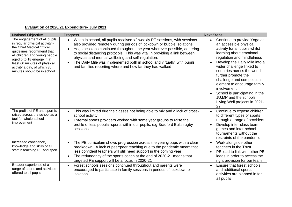## **Evaluation of 2020/21 Expenditure- July 2021**

| <b>National Objective</b>                                                                                                                                                                                                                                                            | Progress                                                                                                                                                                                                                                                                                                                                                                                                                                                                                                                                          | <b>Next Steps</b>                                                                                                                                                                                                                                                                                                                                                                                                                                                              |
|--------------------------------------------------------------------------------------------------------------------------------------------------------------------------------------------------------------------------------------------------------------------------------------|---------------------------------------------------------------------------------------------------------------------------------------------------------------------------------------------------------------------------------------------------------------------------------------------------------------------------------------------------------------------------------------------------------------------------------------------------------------------------------------------------------------------------------------------------|--------------------------------------------------------------------------------------------------------------------------------------------------------------------------------------------------------------------------------------------------------------------------------------------------------------------------------------------------------------------------------------------------------------------------------------------------------------------------------|
| The engagement of all pupils<br>in regular physical activity -<br>the Chief Medical Officer<br>guidelines recommend that<br>all children and young people<br>aged 5 to 18 engage in at<br>least 60 minutes of physical<br>activity a day, of which 30<br>minutes should be in school | When in school, all pupils received x2 weekly PE sessions, with sessions<br>$\bullet$<br>also provided remotely during periods of lockdown or bubble isolations.<br>Yoga sessions continued throughout the year wherever possible, adhering<br>$\bullet$<br>to social distancing protocols. This was vital in providing a link between<br>physical and mental wellbeing and self-regulation.<br>The Daily Mile was implemented both in school and virtually, with pupils<br>$\bullet$<br>and families reporting where and how far they had walked | Continue to provide Yoga as<br>$\bullet$<br>an accessible physical<br>activity for all pupils whilst<br>learning about emotional<br>regulation and mindfulness<br>Develop the Daily Mile into a<br>$\bullet$<br>wider challenge linked to<br>countries across the world -<br>further promote the<br>challenge and competition<br>element to encourage family<br>involvement<br>School is participating in the<br>JU:MP and the schools'<br>Living Well projects in 2021-<br>22 |
| The profile of PE and sport is<br>raised across the school as a<br>tool for whole-school<br>improvement                                                                                                                                                                              | This was limited due the classes not being able to mix and a lack of cross-<br>$\bullet$<br>school activity.<br>External sports providers worked with some year groups to raise the<br>profile of less popular sports within our pupils, e.g Bradford Bulls rugby<br>sessions                                                                                                                                                                                                                                                                     | Continue to expose children<br>$\bullet$<br>to different types of sports<br>through a range of providers<br>Develop inter-class team<br>$\bullet$<br>games and inter-school<br>tournaments without the<br>restraints of the pandemic                                                                                                                                                                                                                                           |
| Increased confidence,<br>knowledge and skills of all<br>staff in teaching PE and sport                                                                                                                                                                                               | The PE curriculum shows progression across the year groups with a clear<br>$\bullet$<br>breakdown. A lack of peer: peer teaching due to the pandemic meant that<br>less confident teachers will still need support in the coming year.<br>The redundancy of the sports coach at the end of 2020-21 means that<br>targeted PE support will be a focus in 2020-21                                                                                                                                                                                   | Work alongside other<br>$\bullet$<br>teachers in the Trust<br>PE lead to link with other PE<br>$\bullet$<br>leads in order to access the<br>right provision for our team                                                                                                                                                                                                                                                                                                       |
| Broader experience of a<br>range of sports and activities<br>offered to all pupils                                                                                                                                                                                                   | Forest schools sessions continued throughout and parents were<br>encouraged to participate in family sessions in periods of lockdown or<br>isolation.                                                                                                                                                                                                                                                                                                                                                                                             | Ensure that forest schools<br>$\bullet$<br>and additional sports<br>activities are planned in for<br>all pupils                                                                                                                                                                                                                                                                                                                                                                |